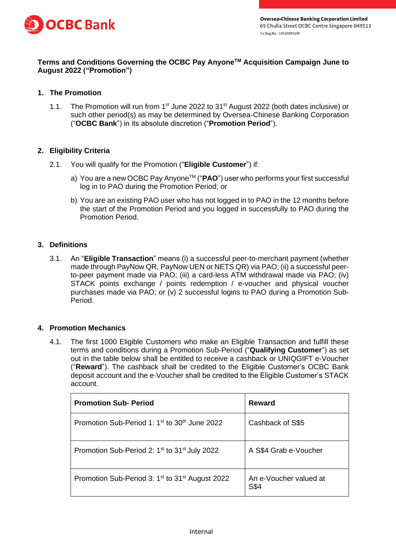

# **Terms and Conditions Governing the OCBC Pay AnyoneTM Acquisition Campaign June to August 2022 ("Promotion")**

# **1. The Promotion**

1.1. The Promotion will run from 1<sup>st</sup> June 2022 to 31<sup>st</sup> August 2022 (both dates inclusive) or such other period(s) as may be determined by Oversea-Chinese Banking Corporation ("**OCBC Bank**") in its absolute discretion ("**Promotion Period**").

### **2. Eligibility Criteria**

- 2.1. You will qualify for the Promotion ("**Eligible Customer**") if:
	- a) You are a new OCBC Pay Anyone™ ("**PAO**") user who performs your first successful log in to PAO during the Promotion Period; or
	- b) You are an existing PAO user who has not logged in to PAO in the 12 months before the start of the Promotion Period and you logged in successfully to PAO during the Promotion Period.

### **3. Definitions**

3.1. An "**Eligible Transaction**" means (i) a successful peer-to-merchant payment (whether made through PayNow QR, PayNow UEN or NETS QR) via PAO; (ii) a successful peerto-peer payment made via PAO; (iii) a card-less ATM withdrawal made via PAO; (iv) STACK points exchange / points redemption / e-voucher and physical voucher purchases made via PAO; or (v) 2 successful logins to PAO during a Promotion Sub-Period.

### **4. Promotion Mechanics**

4.1. The first 1000 Eligible Customers who make an Eligible Transaction and fulfill these terms and conditions during a Promotion Sub-Period ("**Qualifying Customer**") as set out in the table below shall be entitled to receive a cashback or UNIQGIFT e-Voucher ("**Reward**"). The cashback shall be credited to the Eligible Customer's OCBC Bank deposit account and the e-Voucher shall be credited to the Eligible Customer's STACK account.

| <b>Promotion Sub- Period</b>                                            | Reward                         |
|-------------------------------------------------------------------------|--------------------------------|
| Promotion Sub-Period 1: 1 <sup>st</sup> to 30 <sup>th</sup> June 2022   | Cashback of S\$5               |
| Promotion Sub-Period 2: 1 <sup>st</sup> to 31 <sup>st</sup> July 2022   | A S\$4 Grab e-Voucher          |
| Promotion Sub-Period 3: 1 <sup>st</sup> to 31 <sup>st</sup> August 2022 | An e-Voucher valued at<br>S\$4 |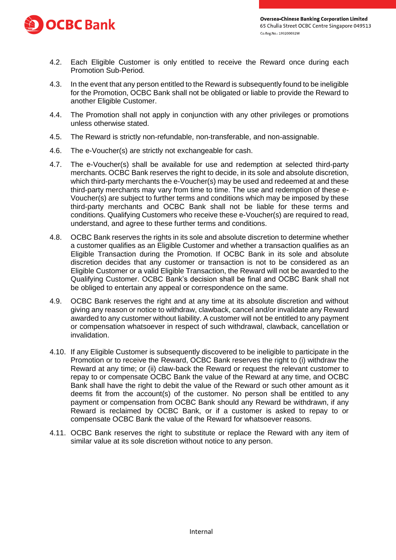

- 4.2. Each Eligible Customer is only entitled to receive the Reward once during each Promotion Sub-Period.
- 4.3. In the event that any person entitled to the Reward is subsequently found to be ineligible for the Promotion, OCBC Bank shall not be obligated or liable to provide the Reward to another Eligible Customer.
- 4.4. The Promotion shall not apply in conjunction with any other privileges or promotions unless otherwise stated.
- 4.5. The Reward is strictly non-refundable, non-transferable, and non-assignable.
- 4.6. The e-Voucher(s) are strictly not exchangeable for cash.
- 4.7. The e-Voucher(s) shall be available for use and redemption at selected third-party merchants. OCBC Bank reserves the right to decide, in its sole and absolute discretion, which third-party merchants the e-Voucher(s) may be used and redeemed at and these third-party merchants may vary from time to time. The use and redemption of these e-Voucher(s) are subject to further terms and conditions which may be imposed by these third-party merchants and OCBC Bank shall not be liable for these terms and conditions. Qualifying Customers who receive these e-Voucher(s) are required to read, understand, and agree to these further terms and conditions.
- 4.8. OCBC Bank reserves the rights in its sole and absolute discretion to determine whether a customer qualifies as an Eligible Customer and whether a transaction qualifies as an Eligible Transaction during the Promotion. If OCBC Bank in its sole and absolute discretion decides that any customer or transaction is not to be considered as an Eligible Customer or a valid Eligible Transaction, the Reward will not be awarded to the Qualifying Customer. OCBC Bank's decision shall be final and OCBC Bank shall not be obliged to entertain any appeal or correspondence on the same.
- 4.9. OCBC Bank reserves the right and at any time at its absolute discretion and without giving any reason or notice to withdraw, clawback, cancel and/or invalidate any Reward awarded to any customer without liability. A customer will not be entitled to any payment or compensation whatsoever in respect of such withdrawal, clawback, cancellation or invalidation.
- 4.10. If any Eligible Customer is subsequently discovered to be ineligible to participate in the Promotion or to receive the Reward, OCBC Bank reserves the right to (i) withdraw the Reward at any time; or (ii) claw-back the Reward or request the relevant customer to repay to or compensate OCBC Bank the value of the Reward at any time, and OCBC Bank shall have the right to debit the value of the Reward or such other amount as it deems fit from the account(s) of the customer. No person shall be entitled to any payment or compensation from OCBC Bank should any Reward be withdrawn, if any Reward is reclaimed by OCBC Bank, or if a customer is asked to repay to or compensate OCBC Bank the value of the Reward for whatsoever reasons.
- 4.11. OCBC Bank reserves the right to substitute or replace the Reward with any item of similar value at its sole discretion without notice to any person.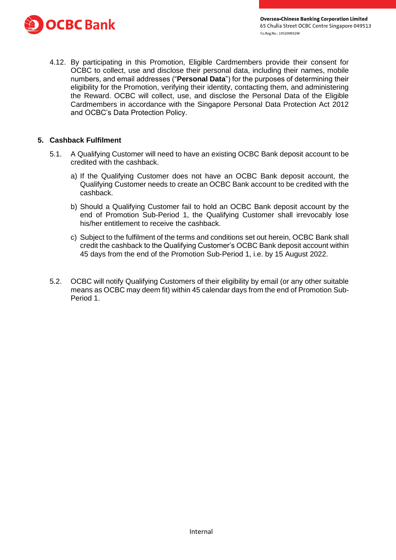

4.12. By participating in this Promotion, Eligible Cardmembers provide their consent for OCBC to collect, use and disclose their personal data, including their names, mobile numbers, and email addresses ("**Personal Data**") for the purposes of determining their eligibility for the Promotion, verifying their identity, contacting them, and administering the Reward. OCBC will collect, use, and disclose the Personal Data of the Eligible Cardmembers in accordance with the Singapore Personal Data Protection Act 2012 and OCBC's Data Protection Policy.

#### **5. Cashback Fulfilment**

- 5.1. A Qualifying Customer will need to have an existing OCBC Bank deposit account to be credited with the cashback.
	- a) If the Qualifying Customer does not have an OCBC Bank deposit account, the Qualifying Customer needs to create an OCBC Bank account to be credited with the cashback.
	- b) Should a Qualifying Customer fail to hold an OCBC Bank deposit account by the end of Promotion Sub-Period 1, the Qualifying Customer shall irrevocably lose his/her entitlement to receive the cashback.
	- c) Subject to the fulfilment of the terms and conditions set out herein, OCBC Bank shall credit the cashback to the Qualifying Customer's OCBC Bank deposit account within 45 days from the end of the Promotion Sub-Period 1, i.e. by 15 August 2022.
- 5.2. OCBC will notify Qualifying Customers of their eligibility by email (or any other suitable means as OCBC may deem fit) within 45 calendar days from the end of Promotion Sub-Period 1.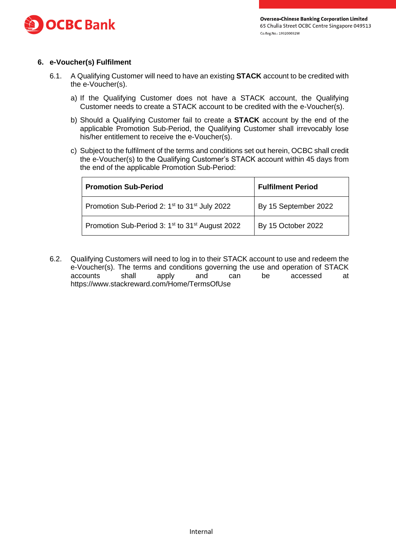

# **6. e-Voucher(s) Fulfilment**

- 6.1. A Qualifying Customer will need to have an existing **STACK** account to be credited with the e-Voucher(s).
	- a) If the Qualifying Customer does not have a STACK account, the Qualifying Customer needs to create a STACK account to be credited with the e-Voucher(s).
	- b) Should a Qualifying Customer fail to create a **STACK** account by the end of the applicable Promotion Sub-Period, the Qualifying Customer shall irrevocably lose his/her entitlement to receive the e-Voucher(s).
	- c) Subject to the fulfilment of the terms and conditions set out herein, OCBC shall credit the e-Voucher(s) to the Qualifying Customer's STACK account within 45 days from the end of the applicable Promotion Sub-Period:

| <b>Promotion Sub-Period</b>                                             | <b>Fulfilment Period</b> |
|-------------------------------------------------------------------------|--------------------------|
| Promotion Sub-Period 2: 1 <sup>st</sup> to 31 <sup>st</sup> July 2022   | By 15 September 2022     |
| Promotion Sub-Period 3: 1 <sup>st</sup> to 31 <sup>st</sup> August 2022 | By 15 October 2022       |

6.2. Qualifying Customers will need to log in to their STACK account to use and redeem the e-Voucher(s). The terms and conditions governing the use and operation of STACK accounts shall apply and can be accessed at <https://www.stackreward.com/Home/TermsOfUse>